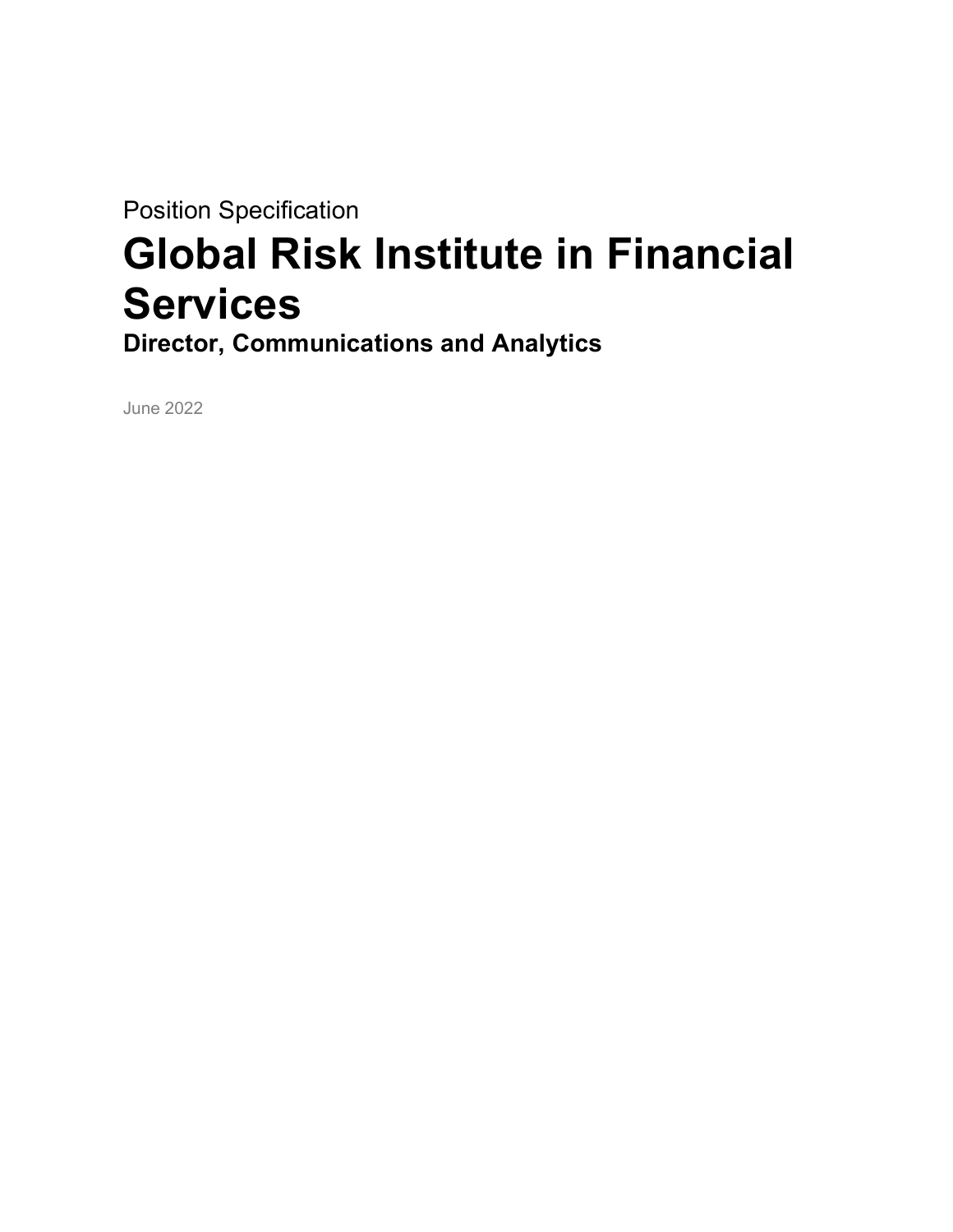Position Specification

# Global Risk Institute in Financial **Services**

Director, Communications and Analytics

June 2022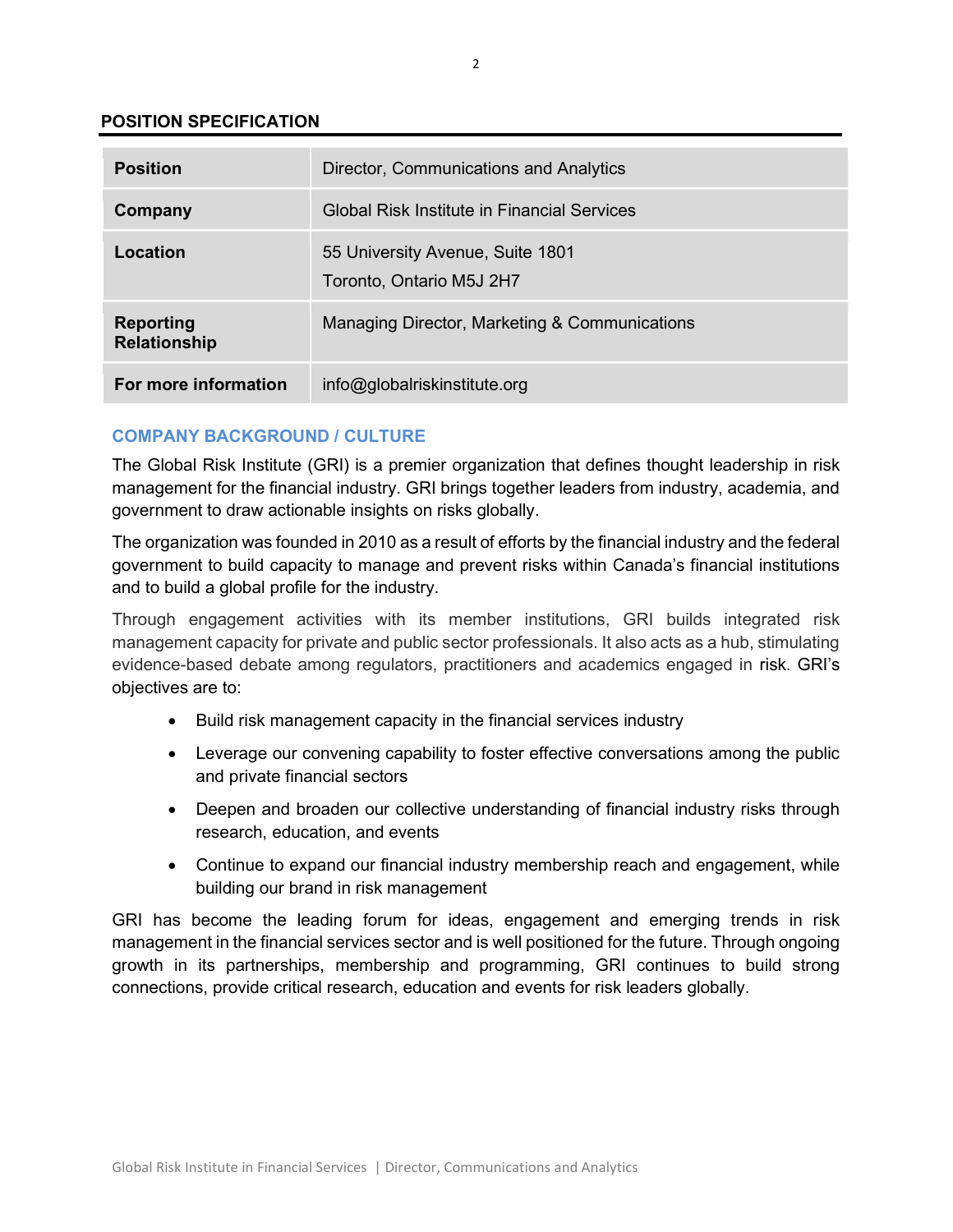## POSITION SPECIFICATION

| <b>Position</b>                         | Director, Communications and Analytics                       |
|-----------------------------------------|--------------------------------------------------------------|
| Company                                 | Global Risk Institute in Financial Services                  |
| Location                                | 55 University Avenue, Suite 1801<br>Toronto, Ontario M5J 2H7 |
| <b>Reporting</b><br><b>Relationship</b> | Managing Director, Marketing & Communications                |
| For more information                    | info@globalriskinstitute.org                                 |

# COMPANY BACKGROUND / CULTURE

The Global Risk Institute (GRI) is a premier organization that defines thought leadership in risk management for the financial industry. GRI brings together leaders from industry, academia, and government to draw actionable insights on risks globally.

The organization was founded in 2010 as a result of efforts by the financial industry and the federal government to build capacity to manage and prevent risks within Canada's financial institutions and to build a global profile for the industry.

Through engagement activities with its member institutions, GRI builds integrated risk management capacity for private and public sector professionals. It also acts as a hub, stimulating evidence-based debate among regulators, practitioners and academics engaged in risk. GRI's objectives are to:

- Build risk management capacity in the financial services industry
- Leverage our convening capability to foster effective conversations among the public and private financial sectors
- Deepen and broaden our collective understanding of financial industry risks through research, education, and events
- Continue to expand our financial industry membership reach and engagement, while building our brand in risk management

GRI has become the leading forum for ideas, engagement and emerging trends in risk management in the financial services sector and is well positioned for the future. Through ongoing growth in its partnerships, membership and programming, GRI continues to build strong connections, provide critical research, education and events for risk leaders globally.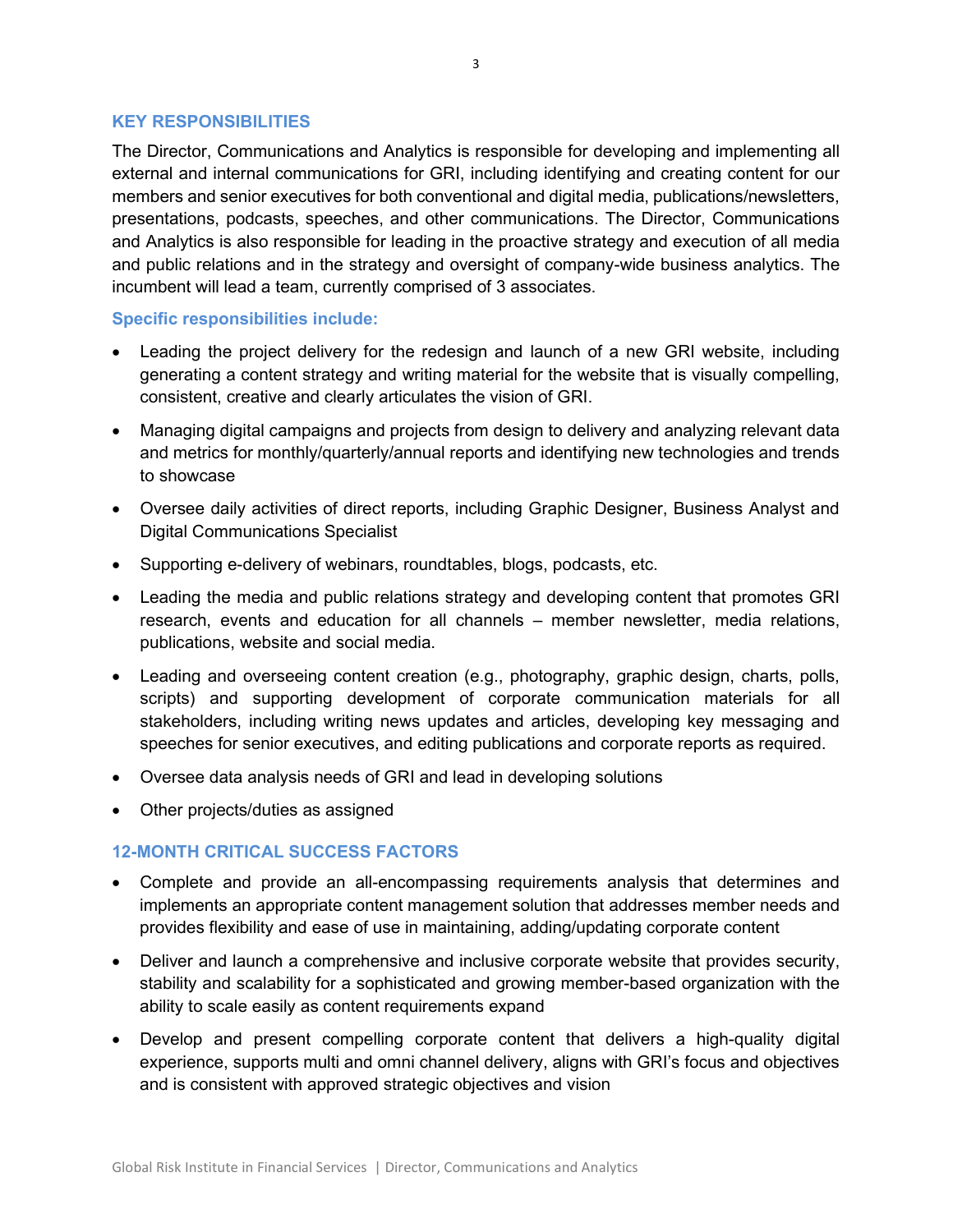## KEY RESPONSIBILITIES

The Director, Communications and Analytics is responsible for developing and implementing all external and internal communications for GRI, including identifying and creating content for our members and senior executives for both conventional and digital media, publications/newsletters, presentations, podcasts, speeches, and other communications. The Director, Communications and Analytics is also responsible for leading in the proactive strategy and execution of all media and public relations and in the strategy and oversight of company-wide business analytics. The incumbent will lead a team, currently comprised of 3 associates.

## Specific responsibilities include:

- Leading the project delivery for the redesign and launch of a new GRI website, including generating a content strategy and writing material for the website that is visually compelling, consistent, creative and clearly articulates the vision of GRI.
- Managing digital campaigns and projects from design to delivery and analyzing relevant data and metrics for monthly/quarterly/annual reports and identifying new technologies and trends to showcase
- Oversee daily activities of direct reports, including Graphic Designer, Business Analyst and Digital Communications Specialist
- Supporting e-delivery of webinars, roundtables, blogs, podcasts, etc.
- Leading the media and public relations strategy and developing content that promotes GRI research, events and education for all channels – member newsletter, media relations, publications, website and social media.
- Leading and overseeing content creation (e.g., photography, graphic design, charts, polls, scripts) and supporting development of corporate communication materials for all stakeholders, including writing news updates and articles, developing key messaging and speeches for senior executives, and editing publications and corporate reports as required.
- Oversee data analysis needs of GRI and lead in developing solutions
- Other projects/duties as assigned

# 12-MONTH CRITICAL SUCCESS FACTORS

- Complete and provide an all-encompassing requirements analysis that determines and implements an appropriate content management solution that addresses member needs and provides flexibility and ease of use in maintaining, adding/updating corporate content
- Deliver and launch a comprehensive and inclusive corporate website that provides security, stability and scalability for a sophisticated and growing member-based organization with the ability to scale easily as content requirements expand
- Develop and present compelling corporate content that delivers a high-quality digital experience, supports multi and omni channel delivery, aligns with GRI's focus and objectives and is consistent with approved strategic objectives and vision